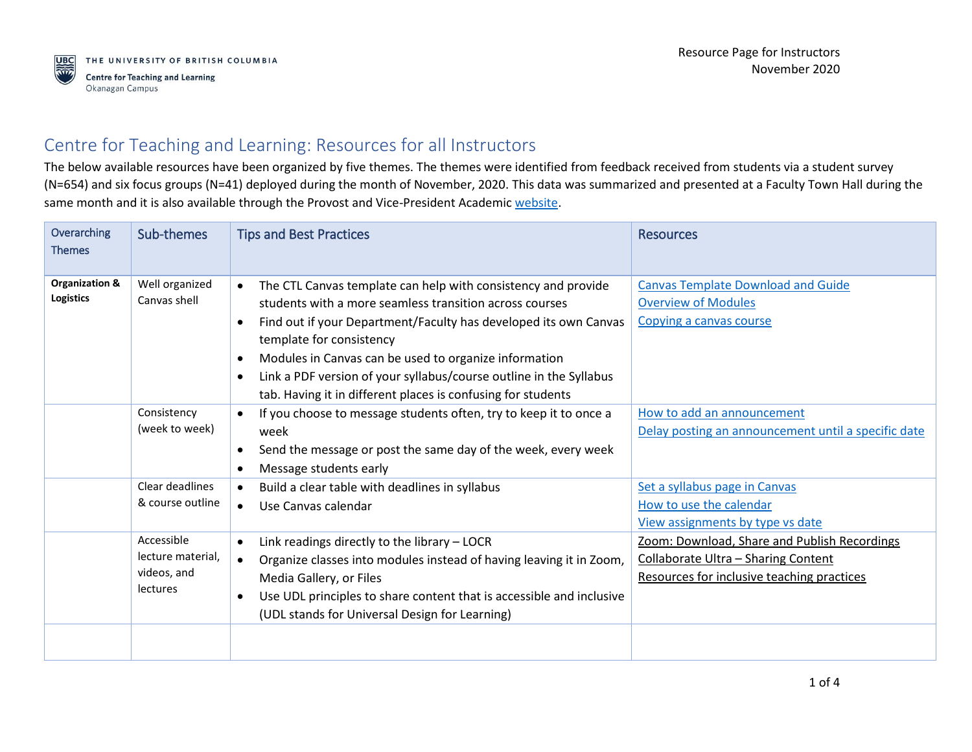## Centre for Teaching and Learning: Resources for all Instructors

The below available resources have been organized by five themes. The themes were identified from feedback received from students via a student survey (N=654) and six focus groups (N=41) deployed during the month of November, 2020. This data was summarized and presented at a Faculty Town Hall during the same month and it is also available through the Provost and Vice-President Academi[c website.](https://provost.ok.ubc.ca/2020/10/28/november-faculty-town-hall/)

| Overarching<br><b>Themes</b>       | Sub-themes                                                 | <b>Tips and Best Practices</b>                                                                                                                                                                                                                                                                                                                                                                                                                                              | <b>Resources</b>                                                                                                                  |
|------------------------------------|------------------------------------------------------------|-----------------------------------------------------------------------------------------------------------------------------------------------------------------------------------------------------------------------------------------------------------------------------------------------------------------------------------------------------------------------------------------------------------------------------------------------------------------------------|-----------------------------------------------------------------------------------------------------------------------------------|
| Organization &<br><b>Logistics</b> | Well organized<br>Canvas shell                             | The CTL Canvas template can help with consistency and provide<br>$\bullet$<br>students with a more seamless transition across courses<br>Find out if your Department/Faculty has developed its own Canvas<br>$\bullet$<br>template for consistency<br>Modules in Canvas can be used to organize information<br>$\bullet$<br>Link a PDF version of your syllabus/course outline in the Syllabus<br>$\bullet$<br>tab. Having it in different places is confusing for students | <b>Canvas Template Download and Guide</b><br><b>Overview of Modules</b><br>Copying a canvas course                                |
|                                    | Consistency<br>(week to week)                              | If you choose to message students often, try to keep it to once a<br>$\bullet$<br>week<br>Send the message or post the same day of the week, every week<br>$\bullet$<br>Message students early<br>$\bullet$                                                                                                                                                                                                                                                                 | How to add an announcement<br>Delay posting an announcement until a specific date                                                 |
|                                    | Clear deadlines<br>& course outline                        | Build a clear table with deadlines in syllabus<br>$\bullet$<br>Use Canvas calendar<br>$\bullet$                                                                                                                                                                                                                                                                                                                                                                             | Set a syllabus page in Canvas<br>How to use the calendar<br>View assignments by type vs date                                      |
|                                    | Accessible<br>lecture material.<br>videos, and<br>lectures | Link readings directly to the library - LOCR<br>$\bullet$<br>Organize classes into modules instead of having leaving it in Zoom,<br>$\bullet$<br>Media Gallery, or Files<br>Use UDL principles to share content that is accessible and inclusive<br>$\bullet$<br>(UDL stands for Universal Design for Learning)                                                                                                                                                             | Zoom: Download, Share and Publish Recordings<br>Collaborate Ultra - Sharing Content<br>Resources for inclusive teaching practices |
|                                    |                                                            |                                                                                                                                                                                                                                                                                                                                                                                                                                                                             |                                                                                                                                   |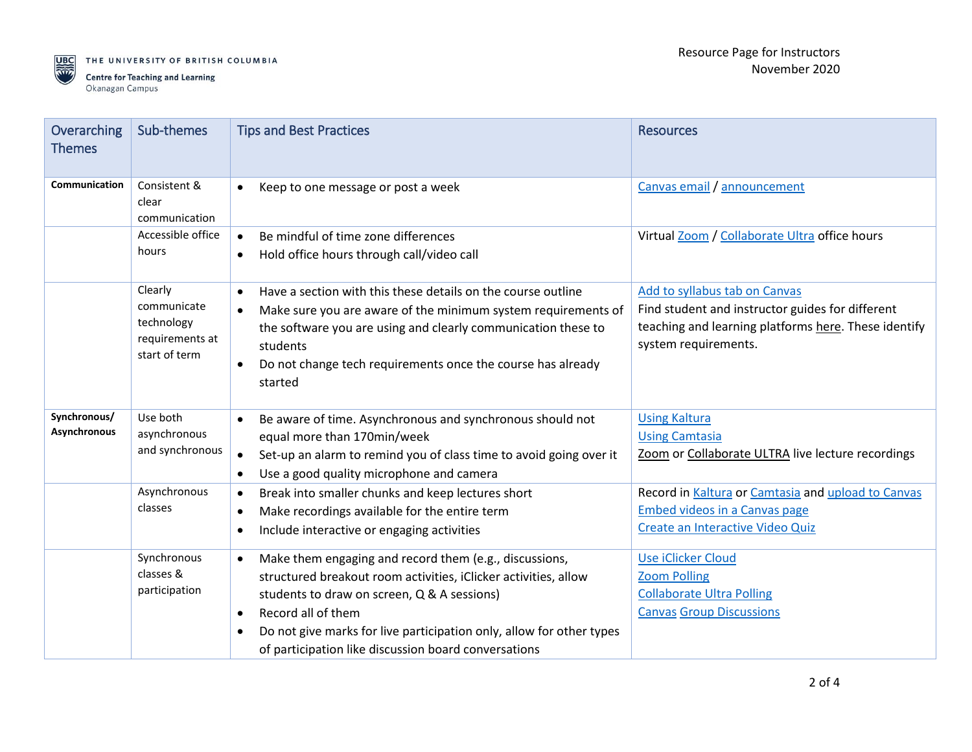

THE UNIVERSITY OF BRITISH COLUMBIA

**Centre for Teaching and Learning** Okanagan Campus

| Overarching<br><b>Themes</b> | Sub-themes                                                               | <b>Tips and Best Practices</b>                                                                                                                                                                                                                                                                                                                           | <b>Resources</b>                                                                                                                                                  |
|------------------------------|--------------------------------------------------------------------------|----------------------------------------------------------------------------------------------------------------------------------------------------------------------------------------------------------------------------------------------------------------------------------------------------------------------------------------------------------|-------------------------------------------------------------------------------------------------------------------------------------------------------------------|
| Communication                | Consistent &<br>clear<br>communication                                   | Keep to one message or post a week<br>$\bullet$                                                                                                                                                                                                                                                                                                          | Canvas email / announcement                                                                                                                                       |
|                              | Accessible office<br>hours                                               | Be mindful of time zone differences<br>$\bullet$<br>Hold office hours through call/video call<br>$\bullet$                                                                                                                                                                                                                                               | Virtual Zoom / Collaborate Ultra office hours                                                                                                                     |
|                              | Clearly<br>communicate<br>technology<br>requirements at<br>start of term | Have a section with this these details on the course outline<br>$\bullet$<br>Make sure you are aware of the minimum system requirements of<br>$\bullet$<br>the software you are using and clearly communication these to<br>students<br>Do not change tech requirements once the course has already<br>started                                           | Add to syllabus tab on Canvas<br>Find student and instructor guides for different<br>teaching and learning platforms here. These identify<br>system requirements. |
| Synchronous/<br>Asynchronous | Use both<br>asynchronous<br>and synchronous                              | Be aware of time. Asynchronous and synchronous should not<br>equal more than 170min/week<br>Set-up an alarm to remind you of class time to avoid going over it<br>$\bullet$<br>Use a good quality microphone and camera                                                                                                                                  | <b>Using Kaltura</b><br><b>Using Camtasia</b><br>Zoom or Collaborate ULTRA live lecture recordings                                                                |
|                              | Asynchronous<br>classes                                                  | Break into smaller chunks and keep lectures short<br>$\bullet$<br>Make recordings available for the entire term<br>$\bullet$<br>Include interactive or engaging activities<br>$\bullet$                                                                                                                                                                  | Record in Kaltura or Camtasia and upload to Canvas<br><b>Embed videos in a Canvas page</b><br>Create an Interactive Video Quiz                                    |
|                              | Synchronous<br>classes &<br>participation                                | Make them engaging and record them (e.g., discussions,<br>$\bullet$<br>structured breakout room activities, iClicker activities, allow<br>students to draw on screen, Q & A sessions)<br>Record all of them<br>$\bullet$<br>Do not give marks for live participation only, allow for other types<br>of participation like discussion board conversations | Use iClicker Cloud<br><b>Zoom Polling</b><br><b>Collaborate Ultra Polling</b><br><b>Canvas Group Discussions</b>                                                  |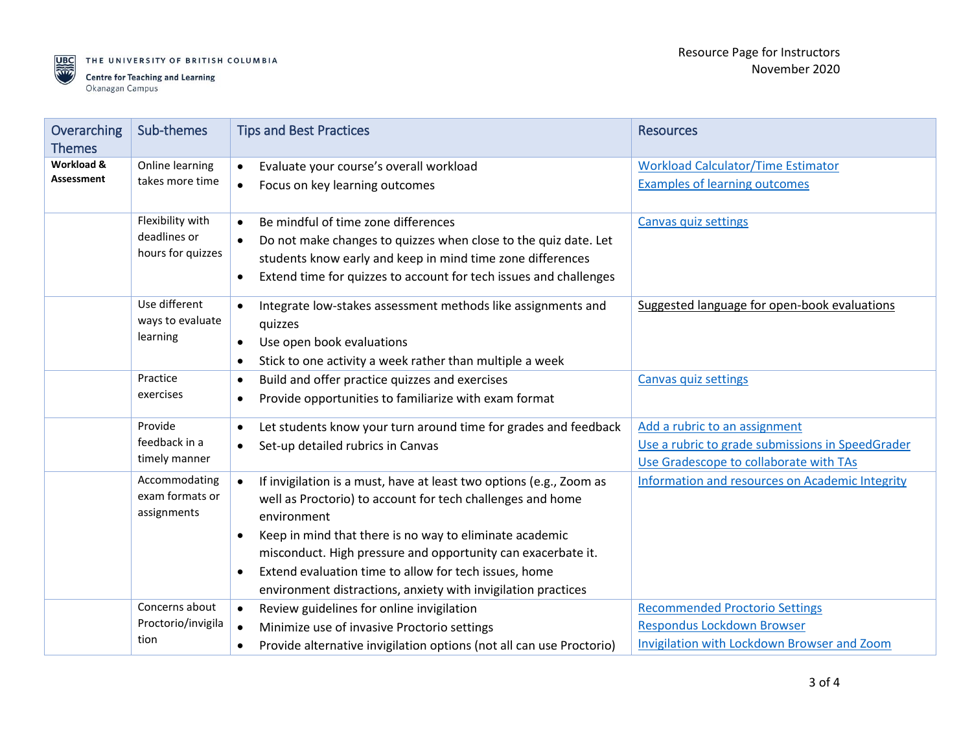

THE UNIVERSITY OF BRITISH COLUMBIA

| Overarching<br><b>Themes</b> | Sub-themes                                            | <b>Tips and Best Practices</b>                                                                                                                                                                                                                                                                                                                                                                                                               | <b>Resources</b>                                                                                                            |
|------------------------------|-------------------------------------------------------|----------------------------------------------------------------------------------------------------------------------------------------------------------------------------------------------------------------------------------------------------------------------------------------------------------------------------------------------------------------------------------------------------------------------------------------------|-----------------------------------------------------------------------------------------------------------------------------|
| Workload &<br>Assessment     | Online learning<br>takes more time                    | Evaluate your course's overall workload<br>$\bullet$<br>Focus on key learning outcomes<br>$\bullet$                                                                                                                                                                                                                                                                                                                                          | <b>Workload Calculator/Time Estimator</b><br><b>Examples of learning outcomes</b>                                           |
|                              | Flexibility with<br>deadlines or<br>hours for quizzes | Be mindful of time zone differences<br>$\bullet$<br>Do not make changes to quizzes when close to the quiz date. Let<br>students know early and keep in mind time zone differences<br>Extend time for quizzes to account for tech issues and challenges<br>$\bullet$                                                                                                                                                                          | Canvas quiz settings                                                                                                        |
|                              | Use different<br>ways to evaluate<br>learning         | Integrate low-stakes assessment methods like assignments and<br>quizzes<br>Use open book evaluations<br>$\bullet$<br>Stick to one activity a week rather than multiple a week<br>$\bullet$                                                                                                                                                                                                                                                   | Suggested language for open-book evaluations                                                                                |
|                              | Practice<br>exercises                                 | Build and offer practice quizzes and exercises<br>$\bullet$<br>Provide opportunities to familiarize with exam format<br>$\bullet$                                                                                                                                                                                                                                                                                                            | Canvas quiz settings                                                                                                        |
|                              | Provide<br>feedback in a<br>timely manner             | Let students know your turn around time for grades and feedback<br>$\bullet$<br>Set-up detailed rubrics in Canvas<br>$\bullet$                                                                                                                                                                                                                                                                                                               | Add a rubric to an assignment<br>Use a rubric to grade submissions in SpeedGrader<br>Use Gradescope to collaborate with TAs |
|                              | Accommodating<br>exam formats or<br>assignments       | $\bullet$<br>If invigilation is a must, have at least two options (e.g., Zoom as<br>well as Proctorio) to account for tech challenges and home<br>environment<br>Keep in mind that there is no way to eliminate academic<br>$\bullet$<br>misconduct. High pressure and opportunity can exacerbate it.<br>Extend evaluation time to allow for tech issues, home<br>$\bullet$<br>environment distractions, anxiety with invigilation practices | <b>Information and resources on Academic Integrity</b>                                                                      |
|                              | Concerns about<br>Proctorio/invigila<br>tion          | Review guidelines for online invigilation<br>$\bullet$<br>Minimize use of invasive Proctorio settings<br>$\bullet$<br>Provide alternative invigilation options (not all can use Proctorio)<br>$\bullet$                                                                                                                                                                                                                                      | <b>Recommended Proctorio Settings</b><br><b>Respondus Lockdown Browser</b><br>Invigilation with Lockdown Browser and Zoom   |